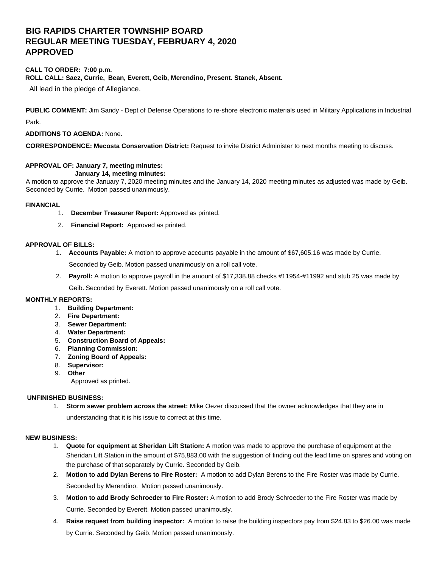# **BIG RAPIDS CHARTER TOWNSHIP BOARD REGULAR MEETING TUESDAY, FEBRUARY 4, 2020 APPROVED**

#### **CALL TO ORDER: 7:00 p.m. ROLL CALL: Saez, Currie, Bean, Everett, Geib, Merendino, Present. Stanek, Absent.**

All lead in the pledge of Allegiance.

**PUBLIC COMMENT:** Jim Sandy - Dept of Defense Operations to re-shore electronic materials used in Military Applications in Industrial

Park.

# **ADDITIONS TO AGENDA:** None.

**CORRESPONDENCE: Mecosta Conservation District:** Request to invite District Administer to next months meeting to discuss.

#### **APPROVAL OF: January 7, meeting minutes: January 14, meeting minutes:**

A motion to approve the January 7, 2020 meeting minutes and the January 14, 2020 meeting minutes as adjusted was made by Geib. Seconded by Currie. Motion passed unanimously.

# **FINANCIAL**

- 1. **December Treasurer Report:** Approved as printed.
- 2. **Financial Report:** Approved as printed.

# **APPROVAL OF BILLS:**

- 1. **Accounts Payable:** A motion to approve accounts payable in the amount of \$67,605.16 was made by Currie. Seconded by Geib. Motion passed unanimously on a roll call vote.
- 2. **Payroll:** A motion to approve payroll in the amount of \$17,338.88 checks #11954-#11992 and stub 25 was made by

Geib. Seconded by Everett. Motion passed unanimously on a roll call vote.

# **MONTHLY REPORTS:**

- 1. **Building Department:**
- 2. **Fire Department:**
- 3. **Sewer Department:**
- 4. **Water Department:**
- 5. **Construction Board of Appeals:**
- 6. **Planning Commission:**
- 7. **Zoning Board of Appeals:**
- 8. **Supervisor:**
- 9. **Other**

Approved as printed.

# **UNFINISHED BUSINESS:**

1. **Storm sewer problem across the street:** Mike Oezer discussed that the owner acknowledges that they are in

understanding that it is his issue to correct at this time.

#### **NEW BUSINESS:**

- 1. **Quote for equipment at Sheridan Lift Station:** A motion was made to approve the purchase of equipment at the Sheridan Lift Station in the amount of \$75,883.00 with the suggestion of finding out the lead time on spares and voting on the purchase of that separately by Currie. Seconded by Geib.
- 2. **Motion to add Dylan Berens to Fire Roster:** A motion to add Dylan Berens to the Fire Roster was made by Currie. Seconded by Merendino. Motion passed unanimously.
- 3. **Motion to add Brody Schroeder to Fire Roster:** A motion to add Brody Schroeder to the Fire Roster was made by Currie. Seconded by Everett. Motion passed unanimously.
- 4. **Raise request from building inspector:** A motion to raise the building inspectors pay from \$24.83 to \$26.00 was made by Currie. Seconded by Geib. Motion passed unanimously.